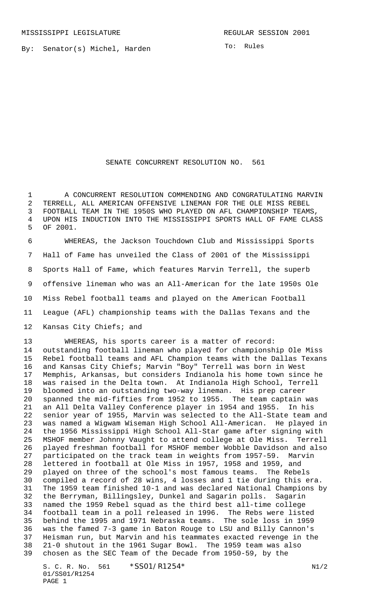By: Senator(s) Michel, Harden

## SENATE CONCURRENT RESOLUTION NO. 561

 A CONCURRENT RESOLUTION COMMENDING AND CONGRATULATING MARVIN TERRELL, ALL AMERICAN OFFENSIVE LINEMAN FOR THE OLE MISS REBEL FOOTBALL TEAM IN THE 1950S WHO PLAYED ON AFL CHAMPIONSHIP TEAMS, UPON HIS INDUCTION INTO THE MISSISSIPPI SPORTS HALL OF FAME CLASS OF 2001.

 WHEREAS, the Jackson Touchdown Club and Mississippi Sports Hall of Fame has unveiled the Class of 2001 of the Mississippi Sports Hall of Fame, which features Marvin Terrell, the superb offensive lineman who was an All-American for the late 1950s Ole Miss Rebel football teams and played on the American Football League (AFL) championship teams with the Dallas Texans and the Kansas City Chiefs; and

 WHEREAS, his sports career is a matter of record: outstanding football lineman who played for championship Ole Miss Rebel football teams and AFL Champion teams with the Dallas Texans and Kansas City Chiefs; Marvin "Boy" Terrell was born in West Memphis, Arkansas, but considers Indianola his home town since he was raised in the Delta town. At Indianola High School, Terrell bloomed into an outstanding two-way lineman. His prep career spanned the mid-fifties from 1952 to 1955. The team captain was an All Delta Valley Conference player in 1954 and 1955. In his senior year of 1955, Marvin was selected to the All-State team and was named a Wigwam Wiseman High School All-American. He played in the 1956 Mississippi High School All-Star game after signing with MSHOF member Johnny Vaught to attend college at Ole Miss. Terrell played freshman football for MSHOF member Wobble Davidson and also participated on the track team in weights from 1957-59. Marvin lettered in football at Ole Miss in 1957, 1958 and 1959, and played on three of the school's most famous teams. The Rebels compiled a record of 28 wins, 4 losses and 1 tie during this era. The 1959 team finished 10-1 and was declared National Champions by the Berryman, Billingsley, Dunkel and Sagarin polls. Sagarin named the 1959 Rebel squad as the third best all-time college football team in a poll released in 1996. The Rebs were listed behind the 1995 and 1971 Nebraska teams. The sole loss in 1959 was the famed 7-3 game in Baton Rouge to LSU and Billy Cannon's Heisman run, but Marvin and his teammates exacted revenge in the 21-0 shutout in the 1961 Sugar Bowl. The 1959 team was also chosen as the SEC Team of the Decade from 1950-59, by the

S. C. R. No. 561 \*SS01/R1254\* N1/2 01/SS01/R1254 PAGE 1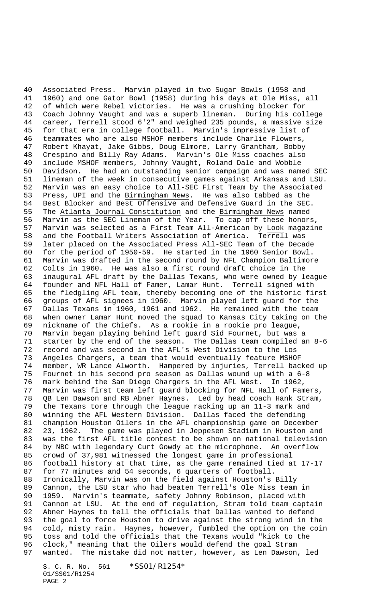Associated Press. Marvin played in two Sugar Bowls (1958 and 1960) and one Gator Bowl (1958) during his days at Ole Miss, all of which were Rebel victories. He was a crushing blocker for Coach Johnny Vaught and was a superb lineman. During his college career, Terrell stood 6'2" and weighed 235 pounds, a massive size for that era in college football. Marvin's impressive list of teammates who are also MSHOF members include Charlie Flowers, Robert Khayat, Jake Gibbs, Doug Elmore, Larry Grantham, Bobby Crespino and Billy Ray Adams. Marvin's Ole Miss coaches also include MSHOF members, Johnny Vaught, Roland Dale and Wobble Davidson. He had an outstanding senior campaign and was named SEC lineman of the week in consecutive games against Arkansas and LSU. Marvin was an easy choice to All-SEC First Team by the Associated 53 Press, UPI and the <u>Birmingham News</u>. He was also tabbed as the<br>54 Best Blocker and Best Offensive and Defensive Guard in the SEC Best Blocker and Best Offensive and Defensive Guard in the SEC. The Atlanta Journal Constitution and the Birmingham News named Marvin as the SEC Lineman of the Year. To cap off these honors, Marvin was selected as a First Team All-American by Look magazine and the Football Writers Association of America. Terrell was later placed on the Associated Press All-SEC Team of the Decade for the period of 1950-59. He started in the 1960 Senior Bowl. Marvin was drafted in the second round by NFL Champion Baltimore Colts in 1960. He was also a first round draft choice in the inaugural AFL draft by the Dallas Texans, who were owned by league founder and NFL Hall of Famer, Lamar Hunt. Terrell signed with the fledgling AFL team, thereby becoming one of the historic first groups of AFL signees in 1960. Marvin played left guard for the Dallas Texans in 1960, 1961 and 1962. He remained with the team when owner Lamar Hunt moved the squad to Kansas City taking on the nickname of the Chiefs. As a rookie in a rookie pro league, Marvin began playing behind left guard Sid Fournet, but was a starter by the end of the season. The Dallas team compiled an 8-6 record and was second in the AFL's West Division to the Los 73 Angeles Chargers, a team that would eventually feature MSHOF<br>74 member. WR Lance Alworth. Hampered by injuries, Terrell bac member, WR Lance Alworth. Hampered by injuries, Terrell backed up Fournet in his second pro season as Dallas wound up with a 6-8 mark behind the San Diego Chargers in the AFL West. In 1962, Marvin was first team left guard blocking for NFL Hall of Famers, QB Len Dawson and RB Abner Haynes. Led by head coach Hank Stram, the Texans tore through the league racking up an 11-3 mark and winning the AFL Western Division. Dallas faced the defending champion Houston Oilers in the AFL championship game on December 23, 1962. The game was played in Jeppesen Stadium in Houston and was the first AFL title contest to be shown on national television by NBC with legendary Curt Gowdy at the microphone. An overflow crowd of 37,981 witnessed the longest game in professional football history at that time, as the game remained tied at 17-17 for 77 minutes and 54 seconds, 6 quarters of football. Ironically, Marvin was on the field against Houston's Billy Cannon, the LSU star who had beaten Terrell's Ole Miss team in 1959. Marvin's teammate, safety Johnny Robinson, placed with Cannon at LSU. At the end of regulation, Stram told team captain Abner Haynes to tell the officials that Dallas wanted to defend the goal to force Houston to drive against the strong wind in the cold, misty rain. Haynes, however, fumbled the option on the coin 95 toss and told the officials that the Texans would "kick to the<br>96 clock," meaning that the Oilers would defend the goal Stram clock," meaning that the Oilers would defend the goal Stram wanted. The mistake did not matter, however, as Len Dawson, led

S. C. R. No. 561 \*SS01/R1254\* 01/SS01/R1254 PAGE 2